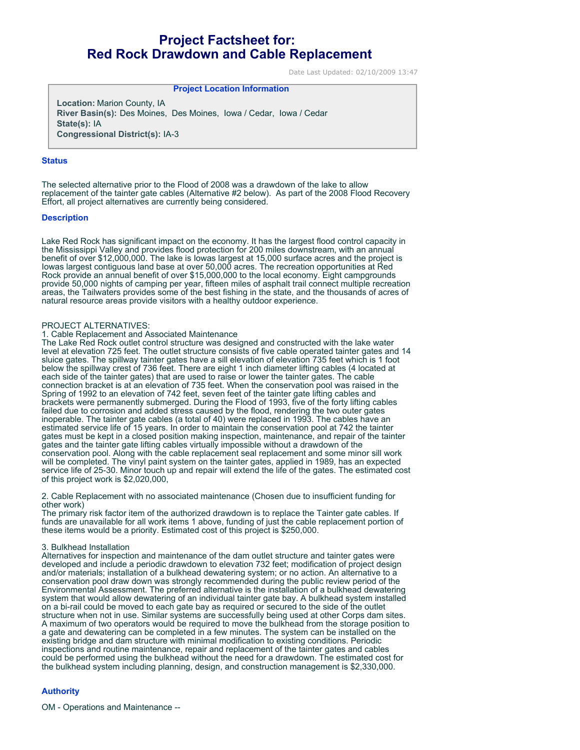# **Project Factsheet for: Red Rock Drawdown and Cable Replacement**

Date Last Updated: 02/10/2009 13:47

## **Project Location Information**

**Location:** Marion County, IA **River Basin(s):** Des Moines, Des Moines, Iowa / Cedar, Iowa / Cedar **State(s):** IA **Congressional District(s):** IA-3

## **Status**

The selected alternative prior to the Flood of 2008 was a drawdown of the lake to allow replacement of the tainter gate cables (Alternative #2 below). As part of the 2008 Flood Recovery Effort, all project alternatives are currently being considered.

## **Description**

Lake Red Rock has significant impact on the economy. It has the largest flood control capacity in the Mississippi Valley and provides flood protection for 200 miles downstream, with an annual benefit of over \$12,000,000. The lake is Iowas largest at 15,000 surface acres and the project is Iowas largest contiguous land base at over 50,000 acres. The recreation opportunities at Red Rock provide an annual benefit of over \$15,000,000 to the local economy. Eight campgrounds provide 50,000 nights of camping per year, fifteen miles of asphalt trail connect multiple recreation areas, the Tailwaters provides some of the best fishing in the state, and the thousands of acres of natural resource areas provide visitors with a healthy outdoor experience.

#### PROJECT ALTERNATIVES:

#### 1. Cable Replacement and Associated Maintenance

The Lake Red Rock outlet control structure was designed and constructed with the lake water level at elevation 725 feet. The outlet structure consists of five cable operated tainter gates and 14 sluice gates. The spillway tainter gates have a sill elevation of elevation 735 feet which is 1 foot below the spillway crest of 736 feet. There are eight 1 inch diameter lifting cables (4 located at each side of the tainter gates) that are used to raise or lower the tainter gates. The cable connection bracket is at an elevation of 735 feet. When the conservation pool was raised in the Spring of 1992 to an elevation of 742 feet, seven feet of the tainter gate lifting cables and brackets were permanently submerged. During the Flood of 1993, five of the forty lifting cables failed due to corrosion and added stress caused by the flood, rendering the two outer gates inoperable. The tainter gate cables (a total of 40) were replaced in 1993. The cables have an estimated service life of 15 years. In order to maintain the conservation pool at 742 the tainter gates must be kept in a closed position making inspection, maintenance, and repair of the tainter gates and the tainter gate lifting cables virtually impossible without a drawdown of the conservation pool. Along with the cable replacement seal replacement and some minor sill work will be completed. The vinyl paint system on the tainter gates, applied in 1989, has an expected service life of 25-30. Minor touch up and repair will extend the life of the gates. The estimated cost of this project work is \$2,020,000,

## 2. Cable Replacement with no associated maintenance (Chosen due to insufficient funding for other work)

The primary risk factor item of the authorized drawdown is to replace the Tainter gate cables. If funds are unavailable for all work items 1 above, funding of just the cable replacement portion of these items would be a priority. Estimated cost of this project is \$250,000.

#### 3. Bulkhead Installation

Alternatives for inspection and maintenance of the dam outlet structure and tainter gates were developed and include a periodic drawdown to elevation 732 feet; modification of project design and/or materials; installation of a bulkhead dewatering system; or no action. An alternative to a conservation pool draw down was strongly recommended during the public review period of the Environmental Assessment. The preferred alternative is the installation of a bulkhead dewatering system that would allow dewatering of an individual tainter gate bay. A bulkhead system installed on a bi-rail could be moved to each gate bay as required or secured to the side of the outlet structure when not in use. Similar systems are successfully being used at other Corps dam sites. A maximum of two operators would be required to move the bulkhead from the storage position to a gate and dewatering can be completed in a few minutes. The system can be installed on the existing bridge and dam structure with minimal modification to existing conditions. Periodic inspections and routine maintenance, repair and replacement of the tainter gates and cables could be performed using the bulkhead without the need for a drawdown. The estimated cost for the bulkhead system including planning, design, and construction management is \$2,330,000.

## **Authority**

OM - Operations and Maintenance --